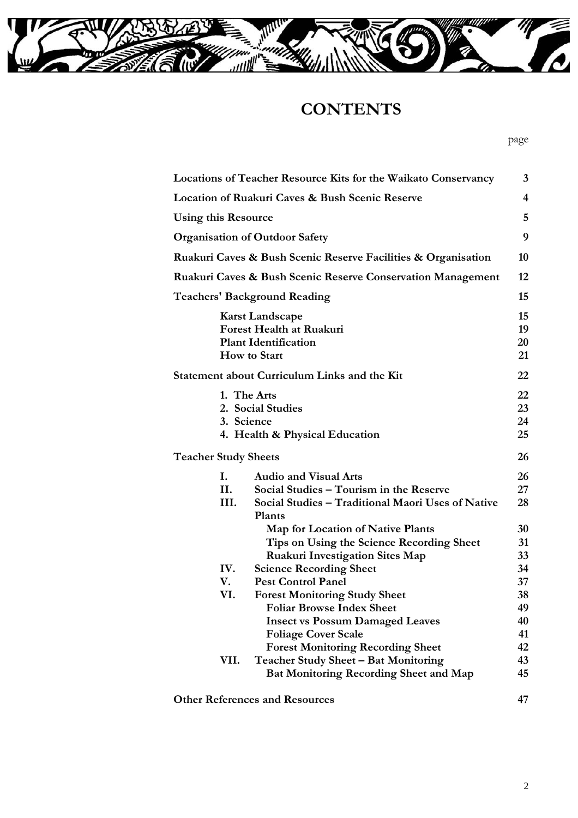

# **CONTENTS**

## page

| Locations of Teacher Resource Kits for the Waikato Conservancy                                           |                                                                                                                                                                                                                                                                     | 3                                      |
|----------------------------------------------------------------------------------------------------------|---------------------------------------------------------------------------------------------------------------------------------------------------------------------------------------------------------------------------------------------------------------------|----------------------------------------|
|                                                                                                          | <b>Location of Ruakuri Caves &amp; Bush Scenic Reserve</b>                                                                                                                                                                                                          | $\overline{\mathbf{4}}$                |
| <b>Using this Resource</b>                                                                               |                                                                                                                                                                                                                                                                     | 5                                      |
|                                                                                                          | <b>Organisation of Outdoor Safety</b>                                                                                                                                                                                                                               | 9                                      |
|                                                                                                          | Ruakuri Caves & Bush Scenic Reserve Facilities & Organisation                                                                                                                                                                                                       | 10                                     |
|                                                                                                          | <b>Ruakuri Caves &amp; Bush Scenic Reserve Conservation Management</b>                                                                                                                                                                                              | 12                                     |
|                                                                                                          | <b>Teachers' Background Reading</b>                                                                                                                                                                                                                                 | 15                                     |
| <b>Karst Landscape</b><br>Forest Health at Ruakuri<br><b>Plant Identification</b><br><b>How to Start</b> |                                                                                                                                                                                                                                                                     | 15<br>19<br>20<br>21                   |
|                                                                                                          | <b>Statement about Curriculum Links and the Kit</b>                                                                                                                                                                                                                 | 22                                     |
| 1. The Arts<br>2. Social Studies<br>3. Science<br>4. Health & Physical Education                         |                                                                                                                                                                                                                                                                     | 22<br>23<br>24<br>25                   |
| <b>Teacher Study Sheets</b>                                                                              |                                                                                                                                                                                                                                                                     | 26                                     |
| Ι.                                                                                                       | <b>Audio and Visual Arts</b>                                                                                                                                                                                                                                        | 26                                     |
| Н.<br>III.                                                                                               | Social Studies - Tourism in the Reserve<br>Social Studies - Traditional Maori Uses of Native<br><b>Plants</b>                                                                                                                                                       | 27<br>28                               |
| IV.<br>V.<br>VI.                                                                                         | Map for Location of Native Plants<br>Tips on Using the Science Recording Sheet<br><b>Ruakuri Investigation Sites Map</b><br><b>Science Recording Sheet</b><br><b>Pest Control Panel</b><br><b>Forest Monitoring Study Sheet</b><br><b>Foliar Browse Index Sheet</b> | 30<br>31<br>33<br>34<br>37<br>38<br>49 |
| VII.                                                                                                     | <b>Insect vs Possum Damaged Leaves</b><br><b>Foliage Cover Scale</b><br><b>Forest Monitoring Recording Sheet</b><br>Teacher Study Sheet - Bat Monitoring<br><b>Bat Monitoring Recording Sheet and Map</b>                                                           | 40<br>41<br>42<br>43<br>45             |

**Other References and Resources** 47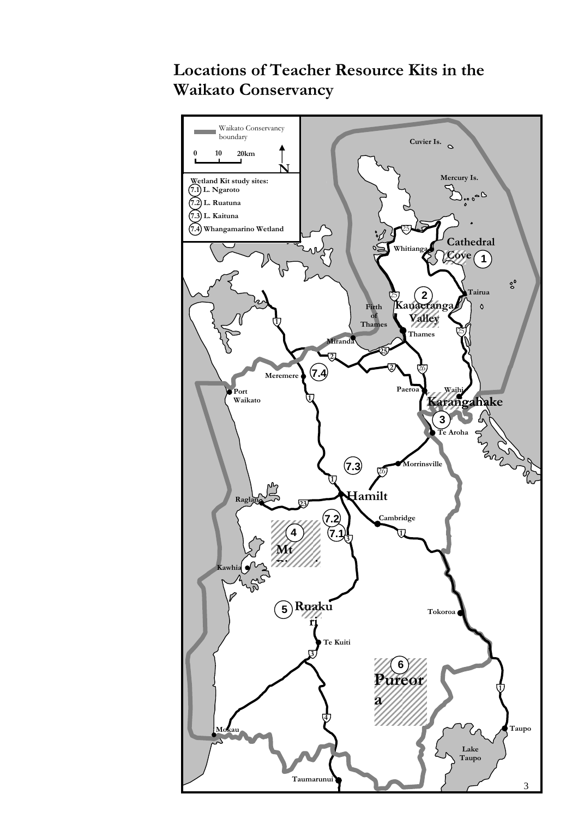# **Locations of Teacher Resource Kits in the Waikato Conservancy**

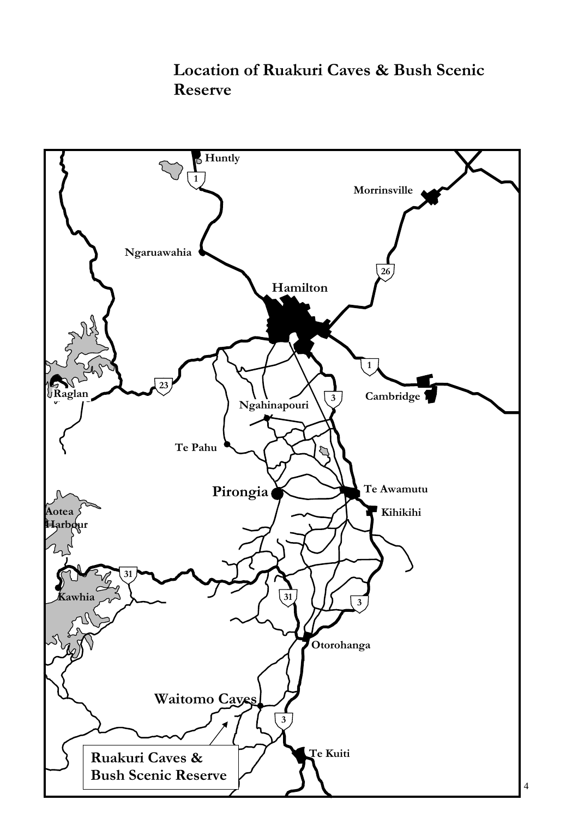# **Location of Ruakuri Caves & Bush Scenic Reserve**

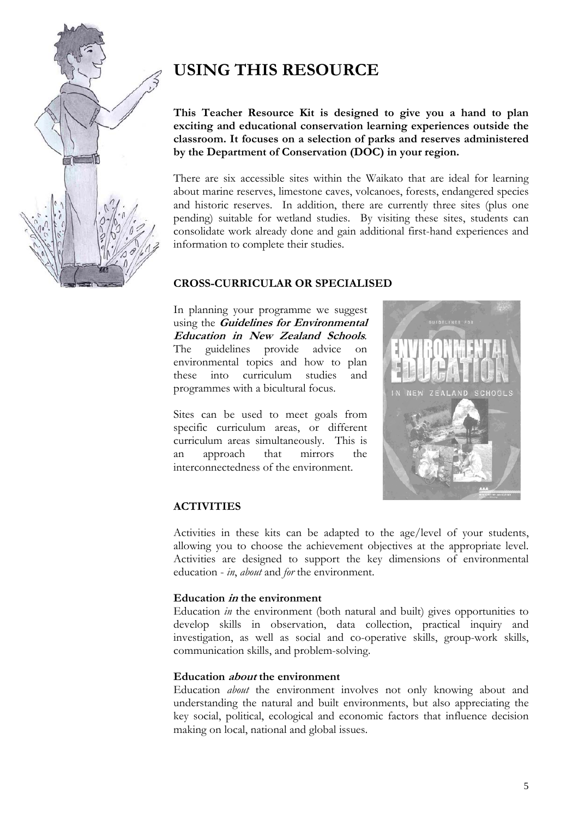

# **USING THIS RESOURCE**

**This Teacher Resource Kit is designed to give you a hand to plan exciting and educational conservation learning experiences outside the classroom. It focuses on a selection of parks and reserves administered by the Department of Conservation (DOC) in your region.** 

There are six accessible sites within the Waikato that are ideal for learning about marine reserves, limestone caves, volcanoes, forests, endangered species and historic reserves. In addition, there are currently three sites (plus one pending) suitable for wetland studies. By visiting these sites, students can consolidate work already done and gain additional first-hand experiences and information to complete their studies.

### **CROSS-CURRICULAR OR SPECIALISED**

In planning your programme we suggest using the **Guidelines for Environmental Education in New Zealand Schools***.*  The guidelines provide advice on environmental topics and how to plan these into curriculum studies and programmes with a bicultural focus.

Sites can be used to meet goals from specific curriculum areas, or different curriculum areas simultaneously. This is an approach that mirrors the interconnectedness of the environment.



### **ACTIVITIES**

Activities in these kits can be adapted to the age/level of your students, allowing you to choose the achievement objectives at the appropriate level. Activities are designed to support the key dimensions of environmental education - *in*, *about* and *for* the environment.

#### **Education in the environment**

Education *in* the environment (both natural and built) gives opportunities to develop skills in observation, data collection, practical inquiry and investigation, as well as social and co-operative skills, group-work skills, communication skills, and problem-solving.

### **Education about the environment**

Education *about* the environment involves not only knowing about and understanding the natural and built environments, but also appreciating the key social, political, ecological and economic factors that influence decision making on local, national and global issues.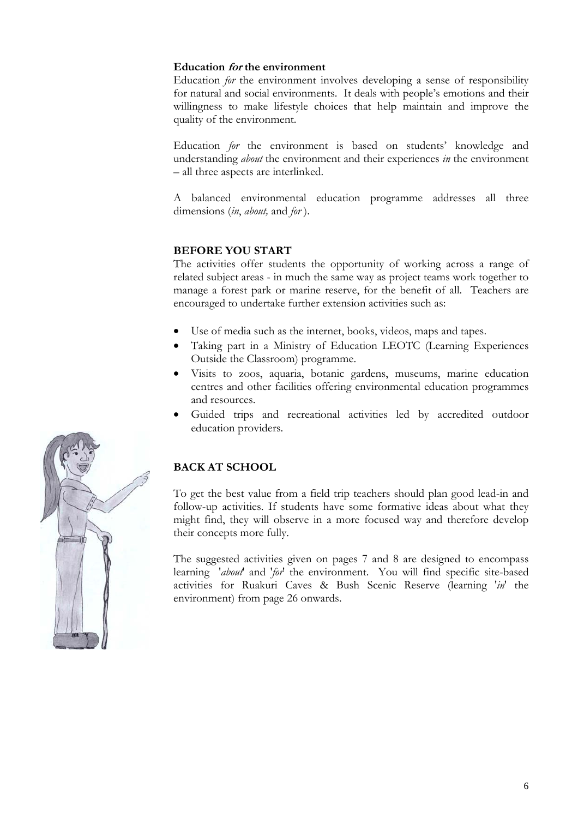### **Education for the environment**

Education *for* the environment involves developing a sense of responsibility for natural and social environments. It deals with people's emotions and their willingness to make lifestyle choices that help maintain and improve the quality of the environment.

Education *for* the environment is based on students' knowledge and understanding *about* the environment and their experiences *in* the environment – all three aspects are interlinked.

A balanced environmental education programme addresses all three dimensions (*in*, *about,* and *for* ).

### **BEFORE YOU START**

The activities offer students the opportunity of working across a range of related subject areas - in much the same way as project teams work together to manage a forest park or marine reserve, for the benefit of all. Teachers are encouraged to undertake further extension activities such as:

- Use of media such as the internet, books, videos, maps and tapes.
- Taking part in a Ministry of Education LEOTC (Learning Experiences Outside the Classroom) programme.
- Visits to zoos, aquaria, botanic gardens, museums, marine education centres and other facilities offering environmental education programmes and resources.
- Guided trips and recreational activities led by accredited outdoor education providers.

## **BACK AT SCHOOL**

To get the best value from a field trip teachers should plan good lead-in and follow-up activities. If students have some formative ideas about what they might find, they will observe in a more focused way and therefore develop their concepts more fully.

The suggested activities given on pages 7 and 8 are designed to encompass learning '*about*' and '*for*' the environment. You will find specific site-based activities for Ruakuri Caves & Bush Scenic Reserve (learning '*in*' the environment) from page 26 onwards.

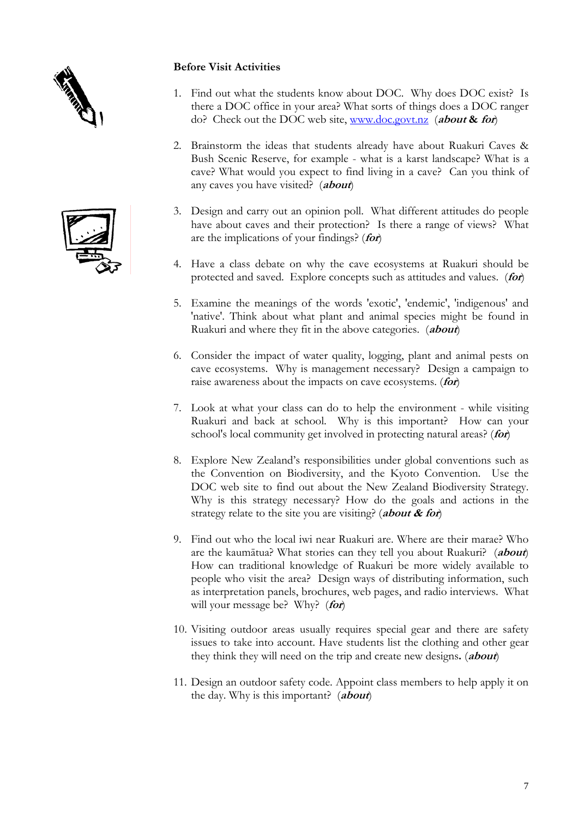### **Before Visit Activities**





- 1. Find out what the students know about DOC. Why does DOC exist? Is there a DOC office in your area? What sorts of things does a DOC ranger do? Check out the DOC web site, [www.doc.govt.nz](http://www.doc.govt.nz/)(**about & for**)
- 2. Brainstorm the ideas that students already have about Ruakuri Caves & Bush Scenic Reserve, for example - what is a karst landscape? What is a cave? What would you expect to find living in a cave? Can you think of any caves you have visited? (**about**)
- 3. Design and carry out an opinion poll. What different attitudes do people have about caves and their protection? Is there a range of views? What are the implications of your findings? (**for**)
- 4. Have a class debate on why the cave ecosystems at Ruakuri should be protected and saved. Explore concepts such as attitudes and values. (**for**)
- 5. Examine the meanings of the words 'exotic', 'endemic', 'indigenous' and 'native'. Think about what plant and animal species might be found in Ruakuri and where they fit in the above categories. (**about**)
- 6. Consider the impact of water quality, logging, plant and animal pests on cave ecosystems. Why is management necessary? Design a campaign to raise awareness about the impacts on cave ecosystems. (**for**)
- 7. Look at what your class can do to help the environment while visiting Ruakuri and back at school. Why is this important? How can your school's local community get involved in protecting natural areas? (**for**)
- 8. Explore New Zealand's responsibilities under global conventions such as the Convention on Biodiversity, and the Kyoto Convention. Use the DOC web site to find out about the New Zealand Biodiversity Strategy. Why is this strategy necessary? How do the goals and actions in the strategy relate to the site you are visiting? (**about & for**)
- 9. Find out who the local iwi near Ruakuri are. Where are their marae? Who are the kaumātua? What stories can they tell you about Ruakuri? (**about**) How can traditional knowledge of Ruakuri be more widely available to people who visit the area? Design ways of distributing information, such as interpretation panels, brochures, web pages, and radio interviews. What will your message be? Why? (**for**)
- 10. Visiting outdoor areas usually requires special gear and there are safety issues to take into account. Have students list the clothing and other gear they think they will need on the trip and create new designs**.** (**about**)
- 11. Design an outdoor safety code. Appoint class members to help apply it on the day. Why is this important?(**about**)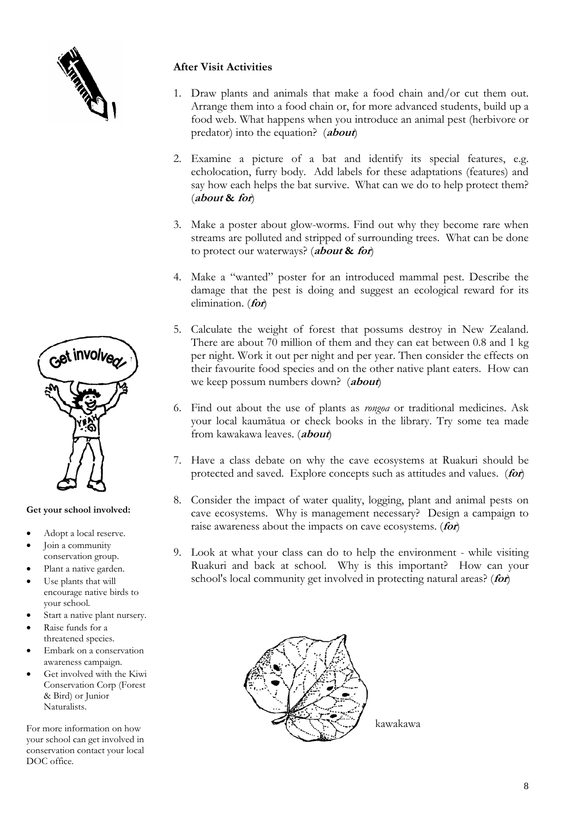

## **After Visit Activities**

- 1. Draw plants and animals that make a food chain and/or cut them out. Arrange them into a food chain or, for more advanced students, build up a food web. What happens when you introduce an animal pest (herbivore or predator) into the equation? (**about**)
- 2. Examine a picture of a bat and identify its special features, e.g. echolocation, furry body. Add labels for these adaptations (features) and say how each helps the bat survive. What can we do to help protect them? (**about & for**)
- 3. Make a poster about glow-worms. Find out why they become rare when streams are polluted and stripped of surrounding trees. What can be done to protect our waterways? (**about & for**)
- 4. Make a "wanted" poster for an introduced mammal pest. Describe the damage that the pest is doing and suggest an ecological reward for its elimination. (**for**)
- 5. Calculate the weight of forest that possums destroy in New Zealand. There are about 70 million of them and they can eat between 0.8 and 1 kg per night. Work it out per night and per year. Then consider the effects on their favourite food species and on the other native plant eaters. How can we keep possum numbers down?(**about**)
- 6. Find out about the use of plants as *rongoa* or traditional medicines. Ask your local kaumātua or check books in the library. Try some tea made from kawakawa leaves. (**about**)
- 7. Have a class debate on why the cave ecosystems at Ruakuri should be protected and saved. Explore concepts such as attitudes and values. (**for**)
- 8. Consider the impact of water quality, logging, plant and animal pests on cave ecosystems. Why is management necessary? Design a campaign to raise awareness about the impacts on cave ecosystems. (**for**)
- from a community<br>conservation group. 9. Look at what your class can do to help the environment while visiting Ruakuri and back at school. Why is this important? How can your Plant a native garden. **School's Ruakuri** and back at school. Why is this important? How can y<br>Use plants that will **explore in the school's** local community get involved in protecting natural areas? (**for**)



kawakawa



### **Get your school involved:**

- Adopt a local reserve.
- Join a community
- 
- Use plants that will encourage native birds to your school.
- Start a native plant nursery.
- Raise funds for a threatened species.
- Embark on a conservation awareness campaign.
- Get involved with the Kiwi Conservation Corp (Forest & Bird) or Junior Naturalists.

For more information on how your school can get involved in conservation contact your local DOC office.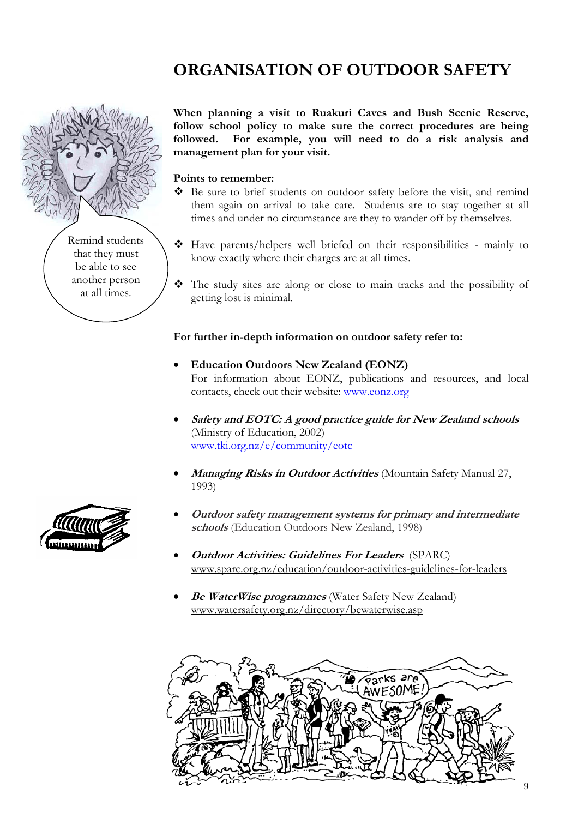# **ORGANISATION OF OUTDOOR SAFETY**



**When planning a visit to Ruakuri Caves and Bush Scenic Reserve, follow school policy to make sure the correct procedures are being followed. For example, you will need to do a risk analysis and management plan for your visit.** 

#### **Points to remember:**

- Be sure to brief students on outdoor safety before the visit, and remind them again on arrival to take care. Students are to stay together at all times and under no circumstance are they to wander off by themselves.
- Have parents/helpers well briefed on their responsibilities mainly to know exactly where their charges are at all times.
- The study sites are along or close to main tracks and the possibility of getting lost is minimal.

#### **For further in-depth information on outdoor safety refer to:**

- **Education Outdoors New Zealand (EONZ)** For information about EONZ, publications and resources, and local contacts, check out their website: <www.eonz.org>
- **Safety and EOTC: A good practice guide for New Zealand schools** (Ministry of Education, 2002) [www.tki.org.nz/e/community/eotc](http://www.tki.org.nz/e/community/eotc)
- **Managing Risks in Outdoor Activities** (Mountain Safety Manual 27, 1993)
- **Outdoor safety management systems for primary and intermediate schools** (Education Outdoors New Zealand, 1998)
- **Outdoor Activities: Guidelines For Leaders** (SPARC) www.sparc.org.nz/education/outdoor-activities-guidelines-for-leaders
- **Be WaterWise programmes** (Water Safety New Zealand) www.watersafety.org.nz/directory/bewaterwise.asp



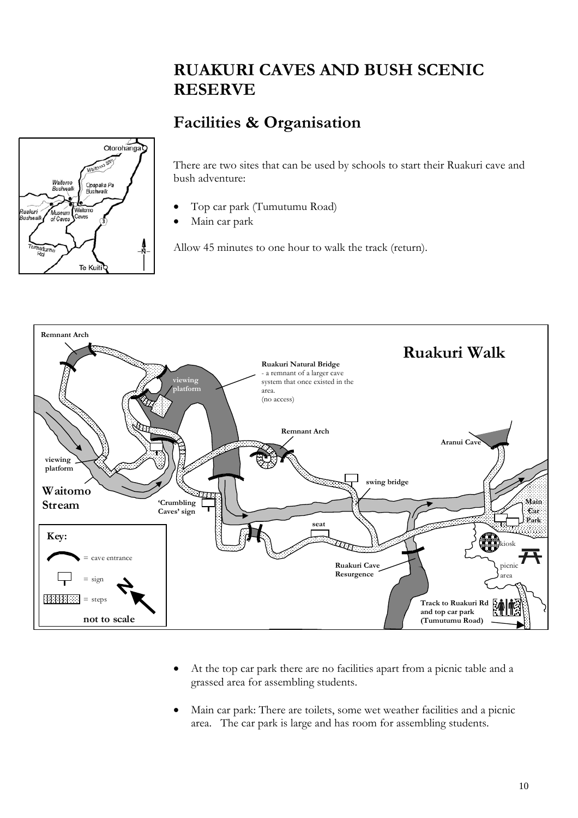# **RUAKURI CAVES AND BUSH SCENIC RESERVE**

# **Facilities & Organisation**



There are two sites that can be used by schools to start their Ruakuri cave and bush adventure:

- Top car park (Tumutumu Road)
- Main car park

Allow 45 minutes to one hour to walk the track (return).



- At the top car park there are no facilities apart from a picnic table and a grassed area for assembling students.
- Main car park: There are toilets, some wet weather facilities and a picnic area. The car park is large and has room for assembling students.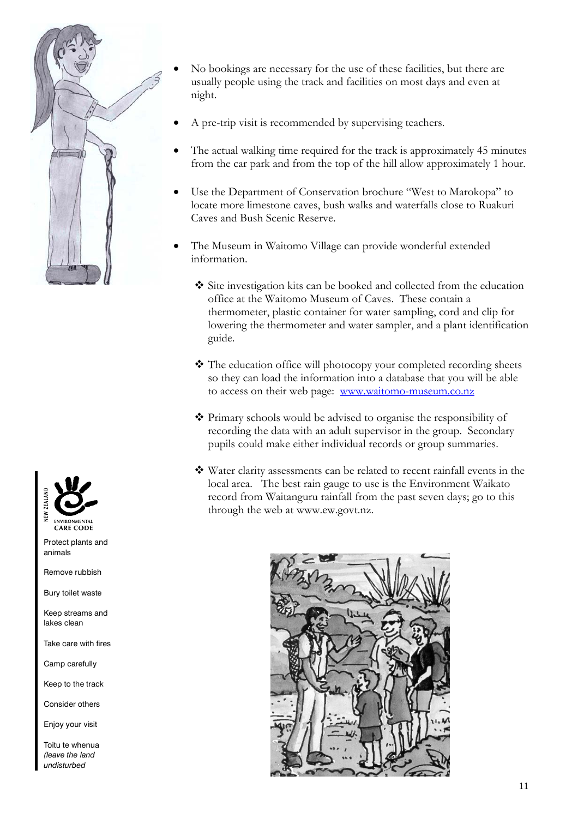

- No bookings are necessary for the use of these facilities, but there are usually people using the track and facilities on most days and even at night.
- A pre-trip visit is recommended by supervising teachers.
- The actual walking time required for the track is approximately 45 minutes from the car park and from the top of the hill allow approximately 1 hour.
- Use the Department of Conservation brochure "West to Marokopa" to locate more limestone caves, bush walks and waterfalls close to Ruakuri Caves and Bush Scenic Reserve.
- The Museum in Waitomo Village can provide wonderful extended information.
	- Site investigation kits can be booked and collected from the education office at the Waitomo Museum of Caves. These contain a thermometer, plastic container for water sampling, cord and clip for lowering the thermometer and water sampler, and a plant identification guide.
	- The education office will photocopy your completed recording sheets so they can load the information into a database that you will be able to access on their web page: [www.waitomo-museum.co.nz](http://www.waitomo-museum.co.nz/)
	- Primary schools would be advised to organise the responsibility of recording the data with an adult supervisor in the group. Secondary pupils could make either individual records or group summaries.
	- Water clarity assessments can be related to recent rainfall events in the local area. The best rain gauge to use is the Environment Waikato record from Waitanguru rainfall from the past seven days; go to this through the web at www.ew.govt.nz.





Protect plants and animals

Remove rubbish

Bury toilet waste

Keep streams and lakes clean

Take care with fires

Camp carefully

Keep to the track

Consider others

Enjoy your visit

Toitu te whenua *(leave the land undisturbed*